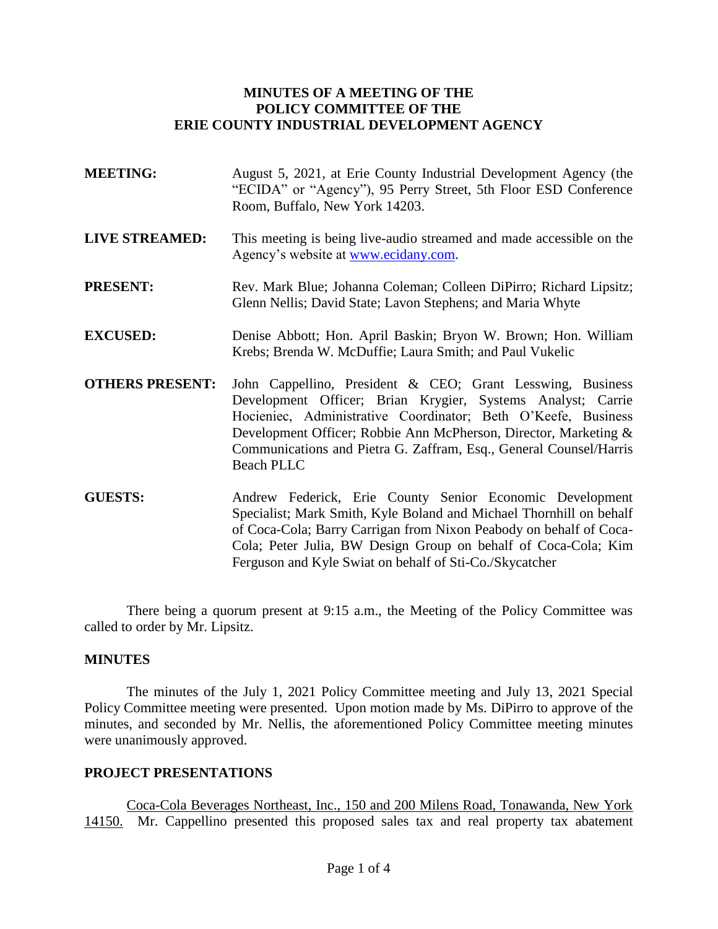# **MINUTES OF A MEETING OF THE POLICY COMMITTEE OF THE ERIE COUNTY INDUSTRIAL DEVELOPMENT AGENCY**

- **MEETING:** August 5, 2021, at Erie County Industrial Development Agency (the "ECIDA" or "Agency"), 95 Perry Street, 5th Floor ESD Conference Room, Buffalo, New York 14203.
- **LIVE STREAMED:** This meeting is being live-audio streamed and made accessible on the Agency's website at [www.ecidany.com.](http://www.ecidany.com/)
- PRESENT: Rev. Mark Blue; Johanna Coleman; Colleen DiPirro; Richard Lipsitz; Glenn Nellis; David State; Lavon Stephens; and Maria Whyte
- **EXCUSED:** Denise Abbott; Hon. April Baskin; Bryon W. Brown; Hon. William Krebs; Brenda W. McDuffie; Laura Smith; and Paul Vukelic
- **OTHERS PRESENT:** John Cappellino, President & CEO; Grant Lesswing, Business Development Officer; Brian Krygier, Systems Analyst; Carrie Hocieniec, Administrative Coordinator; Beth O'Keefe, Business Development Officer; Robbie Ann McPherson, Director, Marketing & Communications and Pietra G. Zaffram, Esq., General Counsel/Harris Beach PLLC
- **GUESTS:** Andrew Federick, Erie County Senior Economic Development Specialist; Mark Smith, Kyle Boland and Michael Thornhill on behalf of Coca-Cola; Barry Carrigan from Nixon Peabody on behalf of Coca-Cola; Peter Julia, BW Design Group on behalf of Coca-Cola; Kim Ferguson and Kyle Swiat on behalf of Sti-Co./Skycatcher

There being a quorum present at 9:15 a.m., the Meeting of the Policy Committee was called to order by Mr. Lipsitz.

## **MINUTES**

The minutes of the July 1, 2021 Policy Committee meeting and July 13, 2021 Special Policy Committee meeting were presented. Upon motion made by Ms. DiPirro to approve of the minutes, and seconded by Mr. Nellis, the aforementioned Policy Committee meeting minutes were unanimously approved.

## **PROJECT PRESENTATIONS**

Coca-Cola Beverages Northeast, Inc., 150 and 200 Milens Road, Tonawanda, New York 14150. Mr. Cappellino presented this proposed sales tax and real property tax abatement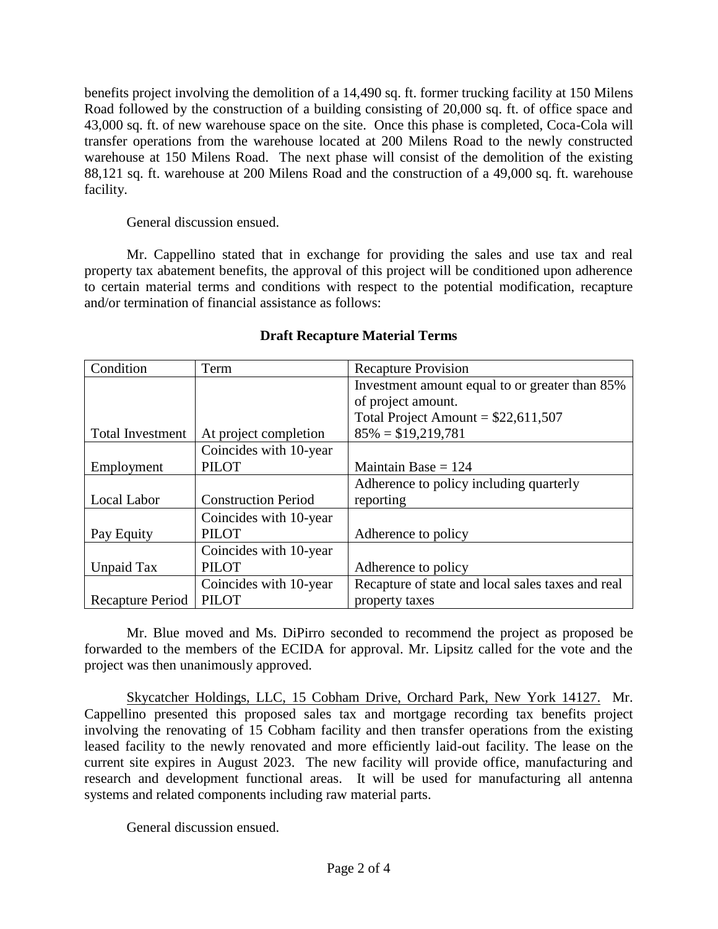benefits project involving the demolition of a 14,490 sq. ft. former trucking facility at 150 Milens Road followed by the construction of a building consisting of 20,000 sq. ft. of office space and 43,000 sq. ft. of new warehouse space on the site. Once this phase is completed, Coca-Cola will transfer operations from the warehouse located at 200 Milens Road to the newly constructed warehouse at 150 Milens Road. The next phase will consist of the demolition of the existing 88,121 sq. ft. warehouse at 200 Milens Road and the construction of a 49,000 sq. ft. warehouse facility.

General discussion ensued.

Mr. Cappellino stated that in exchange for providing the sales and use tax and real property tax abatement benefits, the approval of this project will be conditioned upon adherence to certain material terms and conditions with respect to the potential modification, recapture and/or termination of financial assistance as follows:

| Condition               | Term                       | <b>Recapture Provision</b>                        |
|-------------------------|----------------------------|---------------------------------------------------|
|                         |                            | Investment amount equal to or greater than 85%    |
|                         |                            | of project amount.                                |
|                         |                            | Total Project Amount = $$22,611,507$              |
| <b>Total Investment</b> | At project completion      | $85\% = $19,219,781$                              |
|                         | Coincides with 10-year     |                                                   |
| Employment              | <b>PILOT</b>               | Maintain Base $= 124$                             |
|                         |                            | Adherence to policy including quarterly           |
| Local Labor             | <b>Construction Period</b> | reporting                                         |
|                         | Coincides with 10-year     |                                                   |
| Pay Equity              | <b>PILOT</b>               | Adherence to policy                               |
|                         | Coincides with 10-year     |                                                   |
| Unpaid Tax              | <b>PILOT</b>               | Adherence to policy                               |
|                         | Coincides with 10-year     | Recapture of state and local sales taxes and real |
| Recapture Period        | <b>PILOT</b>               | property taxes                                    |

# **Draft Recapture Material Terms**

Mr. Blue moved and Ms. DiPirro seconded to recommend the project as proposed be forwarded to the members of the ECIDA for approval. Mr. Lipsitz called for the vote and the project was then unanimously approved.

Skycatcher Holdings, LLC, 15 Cobham Drive, Orchard Park, New York 14127. Mr. Cappellino presented this proposed sales tax and mortgage recording tax benefits project involving the renovating of 15 Cobham facility and then transfer operations from the existing leased facility to the newly renovated and more efficiently laid-out facility. The lease on the current site expires in August 2023. The new facility will provide office, manufacturing and research and development functional areas. It will be used for manufacturing all antenna systems and related components including raw material parts.

General discussion ensued.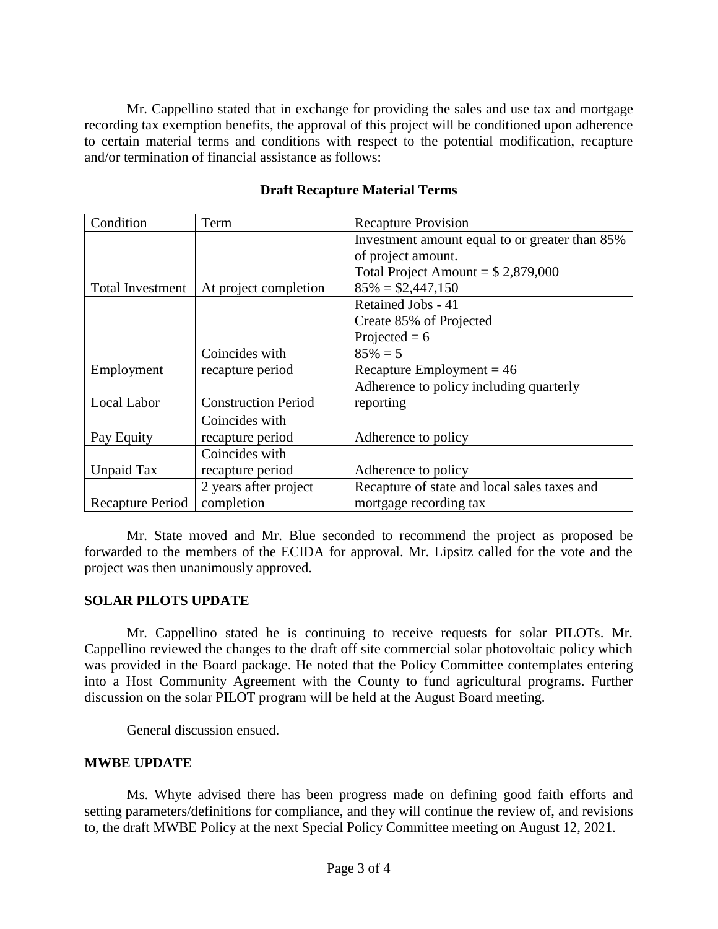Mr. Cappellino stated that in exchange for providing the sales and use tax and mortgage recording tax exemption benefits, the approval of this project will be conditioned upon adherence to certain material terms and conditions with respect to the potential modification, recapture and/or termination of financial assistance as follows:

| Condition               | Term                       | <b>Recapture Provision</b>                     |
|-------------------------|----------------------------|------------------------------------------------|
|                         |                            | Investment amount equal to or greater than 85% |
|                         |                            | of project amount.                             |
|                         |                            | Total Project Amount = $$2,879,000$            |
| <b>Total Investment</b> | At project completion      | $85\% = $2,447,150$                            |
|                         |                            | Retained Jobs - 41                             |
|                         |                            | Create 85% of Projected                        |
|                         |                            | Projected = $6$                                |
|                         | Coincides with             | $85\% = 5$                                     |
| Employment              | recapture period           | Recapture Employment = $46$                    |
|                         |                            | Adherence to policy including quarterly        |
| Local Labor             | <b>Construction Period</b> | reporting                                      |
|                         | Coincides with             |                                                |
| Pay Equity              | recapture period           | Adherence to policy                            |
|                         | Coincides with             |                                                |
| Unpaid Tax              | recapture period           | Adherence to policy                            |
|                         | 2 years after project      | Recapture of state and local sales taxes and   |
| Recapture Period        | completion                 | mortgage recording tax                         |

# **Draft Recapture Material Terms**

Mr. State moved and Mr. Blue seconded to recommend the project as proposed be forwarded to the members of the ECIDA for approval. Mr. Lipsitz called for the vote and the project was then unanimously approved.

## **SOLAR PILOTS UPDATE**

Mr. Cappellino stated he is continuing to receive requests for solar PILOTs. Mr. Cappellino reviewed the changes to the draft off site commercial solar photovoltaic policy which was provided in the Board package. He noted that the Policy Committee contemplates entering into a Host Community Agreement with the County to fund agricultural programs. Further discussion on the solar PILOT program will be held at the August Board meeting.

General discussion ensued.

## **MWBE UPDATE**

Ms. Whyte advised there has been progress made on defining good faith efforts and setting parameters/definitions for compliance, and they will continue the review of, and revisions to, the draft MWBE Policy at the next Special Policy Committee meeting on August 12, 2021.